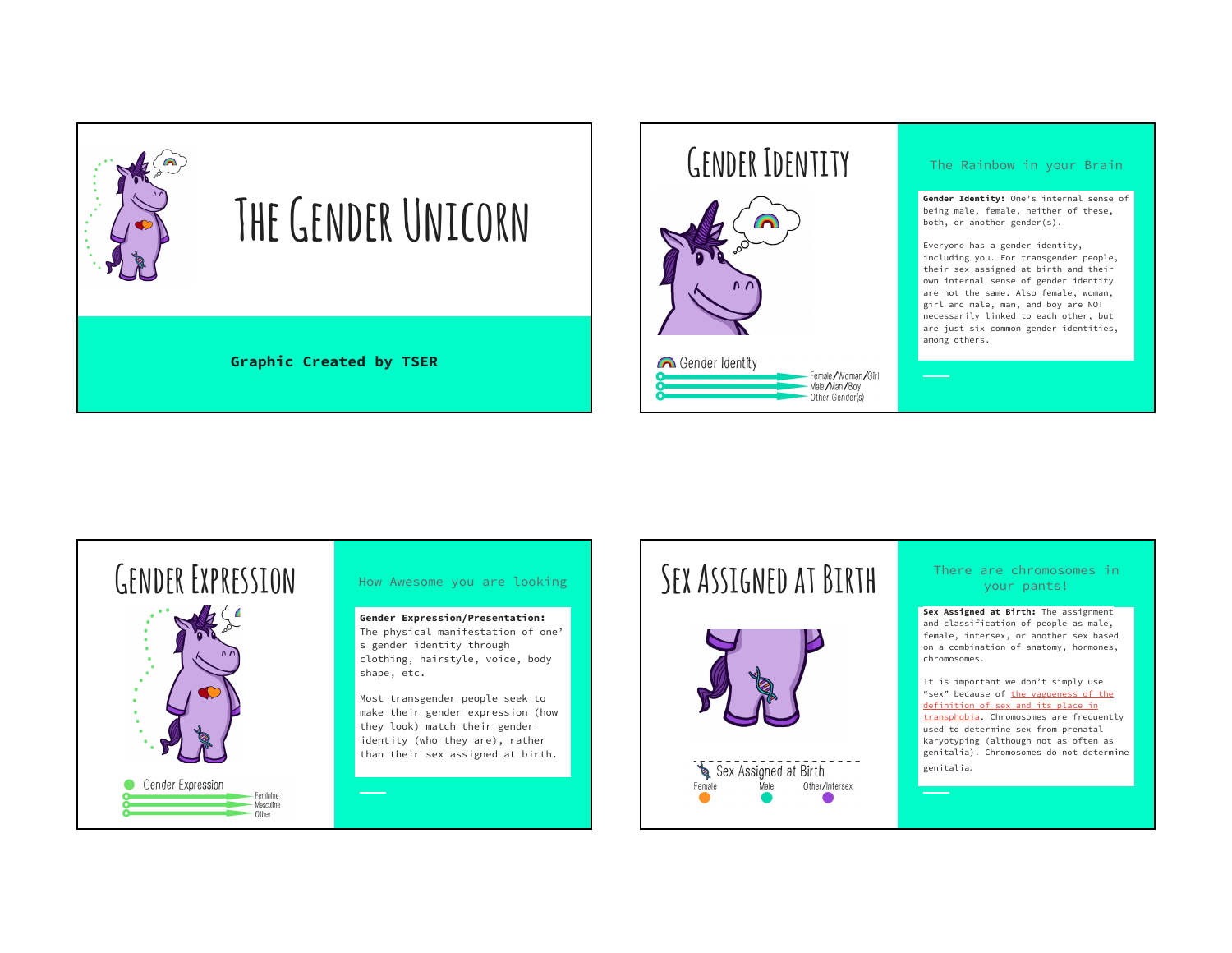

## **Gender Identity**



### The Rainbow in your Brain

**Gender Identity:** One's internal sense of being male, female, neither of these, both, or another gender(s).

Everyone has a gender identity, including you. For transgender people, their sex assigned at birth and their own internal sense of gender identity are not the same. Also female, woman, girl and male, man, and boy are NOT necessarily linked to each other, but are just six common gender identities, among others.

# **Gender Expression**



**Gender Expression/Presentation:** The physical manifestation of one' s gender identity through clothing, hairstyle, voice, body shape, etc.

Most transgender people seek to make their gender expression (how they look) match their gender identity (who they are), rather than their sex assigned at birth.

# How Awesome you are looking **SEX ASSIGNED AT BIRTH**



### There are chromosomes in your pants!

**Sex Assigned at Birth:** The assignment and classification of people as male, female, intersex, or another sex based on a combination of anatomy, hormones, chromosomes.

It is important we don't simply use "sex" because of the vagueness of the definition of sex and its place in transphobia. Chromosomes are frequently used to determine sex from prenatal karyotyping (although not as often as genitalia). Chromosomes do not determine genitalia.